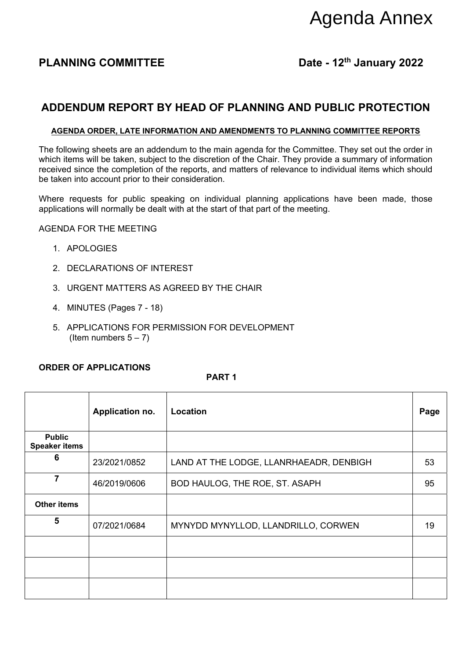# Agenda Annex

### **ADDENDUM REPORT BY HEAD OF PLANNING AND PUBLIC PROTECTION**

### **AGENDA ORDER, LATE INFORMATION AND AMENDMENTS TO PLANNING COMMITTEE REPORTS**

The following sheets are an addendum to the main agenda for the Committee. They set out the order in which items will be taken, subject to the discretion of the Chair. They provide a summary of information received since the completion of the reports, and matters of relevance to individual items which should be taken into account prior to their consideration.

Where requests for public speaking on individual planning applications have been made, those applications will normally be dealt with at the start of that part of the meeting.

AGENDA FOR THE MEETING

- 1. APOLOGIES
- 2. DECLARATIONS OF INTEREST
- 3. URGENT MATTERS AS AGREED BY THE CHAIR
- 4. MINUTES (Pages 7 18)
- 5. APPLICATIONS FOR PERMISSION FOR DEVELOPMENT (Item numbers  $5 - 7$ )

#### **ORDER OF APPLICATIONS**

### **PART 1**

|                                       | Application no. | Location                                | Page |
|---------------------------------------|-----------------|-----------------------------------------|------|
| <b>Public</b><br><b>Speaker items</b> |                 |                                         |      |
| 6                                     | 23/2021/0852    | LAND AT THE LODGE, LLANRHAEADR, DENBIGH | 53   |
| $\overline{\phantom{a}}$              | 46/2019/0606    | BOD HAULOG, THE ROE, ST. ASAPH          | 95   |
| <b>Other items</b>                    |                 |                                         |      |
| 5                                     | 07/2021/0684    | MYNYDD MYNYLLOD, LLANDRILLO, CORWEN     | 19   |
|                                       |                 |                                         |      |
|                                       |                 |                                         |      |
|                                       |                 |                                         |      |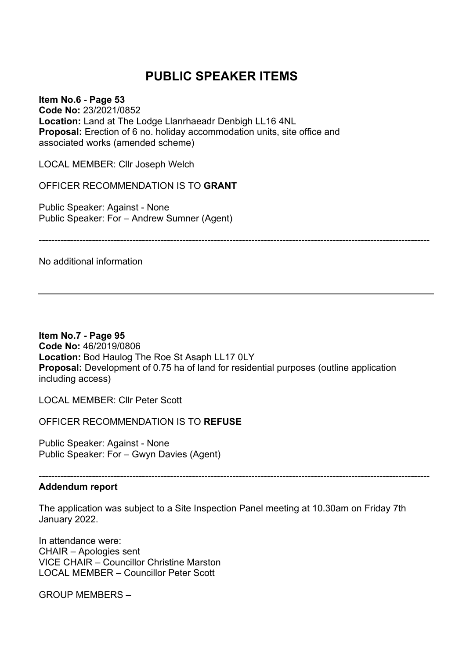### **PUBLIC SPEAKER ITEMS**

**Item No.6 - Page 53 Code No:** 23/2021/0852 **Location:** Land at The Lodge Llanrhaeadr Denbigh LL16 4NL **Proposal:** Erection of 6 no. holiday accommodation units, site office and associated works (amended scheme)

LOCAL MEMBER: Cllr Joseph Welch

OFFICER RECOMMENDATION IS TO **GRANT** 

Public Speaker: Against - None Public Speaker: For – Andrew Sumner (Agent)

No additional information

**Item No.7 - Page 95 Code No:** 46/2019/0806 **Location:** Bod Haulog The Roe St Asaph LL17 0LY **Proposal:** Development of 0.75 ha of land for residential purposes (outline application including access)

-----------------------------------------------------------------------------------------------------------------------------

LOCAL MEMBER: Cllr Peter Scott

OFFICER RECOMMENDATION IS TO **REFUSE**

Public Speaker: Against - None Public Speaker: For – Gwyn Davies (Agent)

-----------------------------------------------------------------------------------------------------------------------------

### **Addendum report**

The application was subject to a Site Inspection Panel meeting at 10.30am on Friday 7th January 2022.

In attendance were: CHAIR – Apologies sent VICE CHAIR – Councillor Christine Marston LOCAL MEMBER – Councillor Peter Scott

GROUP MEMBERS –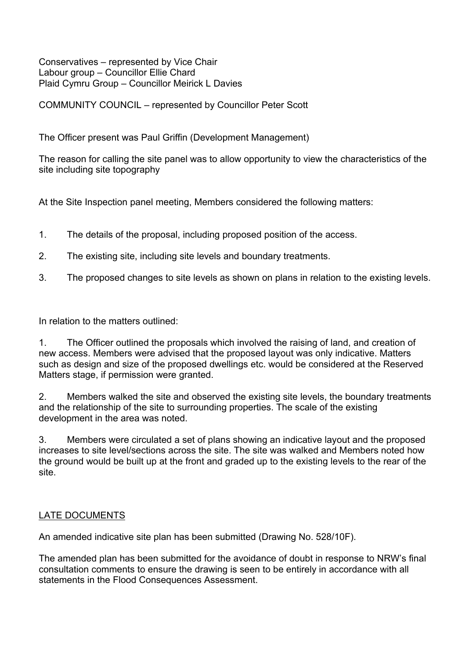Conservatives – represented by Vice Chair Labour group – Councillor Ellie Chard Plaid Cymru Group – Councillor Meirick L Davies

COMMUNITY COUNCIL – represented by Councillor Peter Scott

The Officer present was Paul Griffin (Development Management)

The reason for calling the site panel was to allow opportunity to view the characteristics of the site including site topography

At the Site Inspection panel meeting, Members considered the following matters:

- 1. The details of the proposal, including proposed position of the access.
- 2. The existing site, including site levels and boundary treatments.
- 3. The proposed changes to site levels as shown on plans in relation to the existing levels.

In relation to the matters outlined:

1. The Officer outlined the proposals which involved the raising of land, and creation of new access. Members were advised that the proposed layout was only indicative. Matters such as design and size of the proposed dwellings etc. would be considered at the Reserved Matters stage, if permission were granted.

2. Members walked the site and observed the existing site levels, the boundary treatments and the relationship of the site to surrounding properties. The scale of the existing development in the area was noted.

3. Members were circulated a set of plans showing an indicative layout and the proposed increases to site level/sections across the site. The site was walked and Members noted how the ground would be built up at the front and graded up to the existing levels to the rear of the site.

### LATE DOCUMENTS

An amended indicative site plan has been submitted (Drawing No. 528/10F).

The amended plan has been submitted for the avoidance of doubt in response to NRW's final consultation comments to ensure the drawing is seen to be entirely in accordance with all statements in the Flood Consequences Assessment.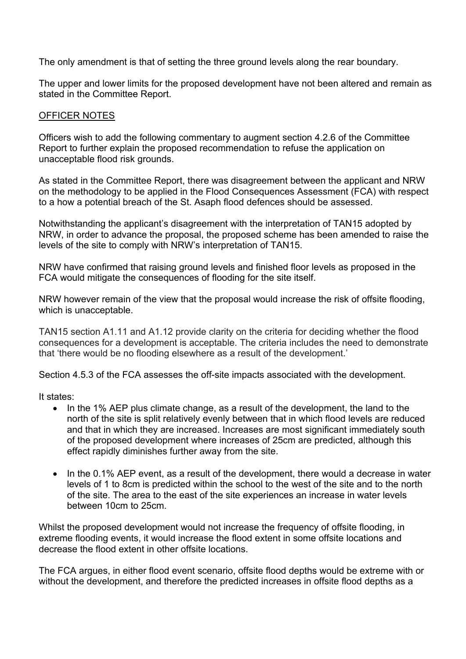The only amendment is that of setting the three ground levels along the rear boundary.

The upper and lower limits for the proposed development have not been altered and remain as stated in the Committee Report.

### OFFICER NOTES

Officers wish to add the following commentary to augment section 4.2.6 of the Committee Report to further explain the proposed recommendation to refuse the application on unacceptable flood risk grounds.

As stated in the Committee Report, there was disagreement between the applicant and NRW on the methodology to be applied in the Flood Consequences Assessment (FCA) with respect to a how a potential breach of the St. Asaph flood defences should be assessed.

Notwithstanding the applicant's disagreement with the interpretation of TAN15 adopted by NRW, in order to advance the proposal, the proposed scheme has been amended to raise the levels of the site to comply with NRW's interpretation of TAN15.

NRW have confirmed that raising ground levels and finished floor levels as proposed in the FCA would mitigate the consequences of flooding for the site itself.

NRW however remain of the view that the proposal would increase the risk of offsite flooding, which is unacceptable.

TAN15 section A1.11 and A1.12 provide clarity on the criteria for deciding whether the flood consequences for a development is acceptable. The criteria includes the need to demonstrate that 'there would be no flooding elsewhere as a result of the development.'

Section 4.5.3 of the FCA assesses the off-site impacts associated with the development.

It states:

- In the 1% AEP plus climate change, as a result of the development, the land to the north of the site is split relatively evenly between that in which flood levels are reduced and that in which they are increased. Increases are most significant immediately south of the proposed development where increases of 25cm are predicted, although this effect rapidly diminishes further away from the site.
- In the 0.1% AEP event, as a result of the development, there would a decrease in water levels of 1 to 8cm is predicted within the school to the west of the site and to the north of the site. The area to the east of the site experiences an increase in water levels between 10cm to 25cm.

Whilst the proposed development would not increase the frequency of offsite flooding, in extreme flooding events, it would increase the flood extent in some offsite locations and decrease the flood extent in other offsite locations.

The FCA argues, in either flood event scenario, offsite flood depths would be extreme with or without the development, and therefore the predicted increases in offsite flood depths as a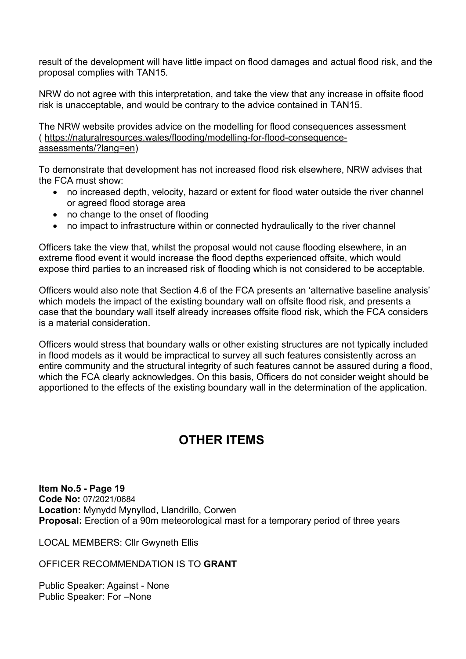result of the development will have little impact on flood damages and actual flood risk, and the proposal complies with TAN15*.* 

NRW do not agree with this interpretation, and take the view that any increase in offsite flood risk is unacceptable, and would be contrary to the advice contained in TAN15.

The NRW website provides advice on the modelling for flood consequences assessment ( https://naturalresources.wales/flooding/modelling-for-flood-consequenceassessments/?lang=en)

To demonstrate that development has not increased flood risk elsewhere, NRW advises that the FCA must show:

- no increased depth, velocity, hazard or extent for flood water outside the river channel or agreed flood storage area
- no change to the onset of flooding
- no impact to infrastructure within or connected hydraulically to the river channel

Officers take the view that, whilst the proposal would not cause flooding elsewhere, in an extreme flood event it would increase the flood depths experienced offsite, which would expose third parties to an increased risk of flooding which is not considered to be acceptable.

Officers would also note that Section 4.6 of the FCA presents an 'alternative baseline analysis' which models the impact of the existing boundary wall on offsite flood risk, and presents a case that the boundary wall itself already increases offsite flood risk, which the FCA considers is a material consideration.

Officers would stress that boundary walls or other existing structures are not typically included in flood models as it would be impractical to survey all such features consistently across an entire community and the structural integrity of such features cannot be assured during a flood, which the FCA clearly acknowledges. On this basis, Officers do not consider weight should be apportioned to the effects of the existing boundary wall in the determination of the application.

## **OTHER ITEMS**

**Item No.5 - Page 19 Code No:** 07/2021/0684 **Location:** Mynydd Mynyllod, Llandrillo, Corwen **Proposal:** Erection of a 90m meteorological mast for a temporary period of three years

LOCAL MEMBERS: Cllr Gwyneth Ellis

OFFICER RECOMMENDATION IS TO **GRANT** 

Public Speaker: Against - None Public Speaker: For –None